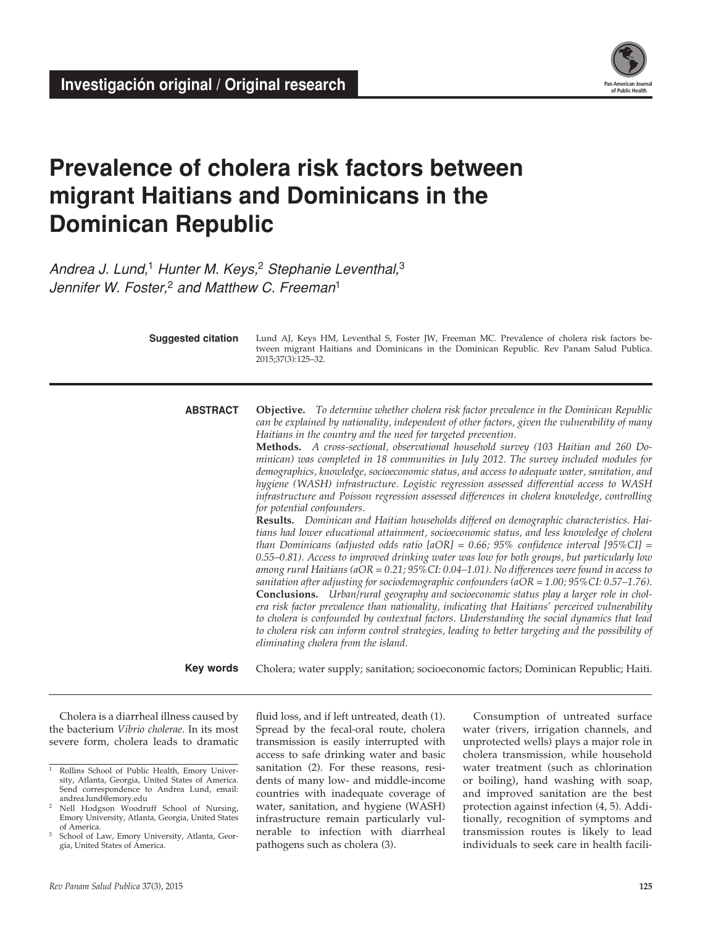

# **Prevalence of cholera risk factors between migrant Haitians and Dominicans in the Dominican Republic**

*Andrea J. Lund,*1 *Hunter M. Keys,*2 *Stephanie Leventhal,*<sup>3</sup> *Jennifer W. Foster,*2 *and Matthew C. Freeman*<sup>1</sup>

> Lund AJ, Keys HM, Leventhal S, Foster JW, Freeman MC. Prevalence of cholera risk factors between migrant Haitians and Dominicans in the Dominican Republic. Rev Panam Salud Publica. 2015;37(3):125–32. **Suggested citation**

**Objective.** *To determine whether cholera risk factor prevalence in the Dominican Republic can be explained by nationality, independent of other factors, given the vulnerability of many Haitians in the country and the need for targeted prevention.* **Methods.** *A cross-sectional, observational household survey (103 Haitian and 260 Dominican) was completed in 18 communities in July 2012. The survey included modules for demographics, knowledge, socioeconomic status, and access to adequate water, sanitation, and hygiene (WASH) infrastructure. Logistic regression assessed differential access to WASH infrastructure and Poisson regression assessed differences in cholera knowledge, controlling for potential confounders.*  **abstract**

**Results.** *Dominican and Haitian households differed on demographic characteristics. Haitians had lower educational attainment, socioeconomic status, and less knowledge of cholera than Dominicans (adjusted odds ratio [aOR] = 0.66; 95% confidence interval [95%CI] = 0.55–0.81). Access to improved drinking water was low for both groups, but particularly low among rural Haitians (aOR = 0.21; 95%CI: 0.04–1.01). No differences were found in access to sanitation after adjusting for sociodemographic confounders (aOR = 1.00; 95%CI: 0.57–1.76).* **Conclusions.** *Urban/rural geography and socioeconomic status play a larger role in cholera risk factor prevalence than nationality, indicating that Haitians' perceived vulnerability to cholera is confounded by contextual factors. Understanding the social dynamics that lead to cholera risk can inform control strategies, leading to better targeting and the possibility of eliminating cholera from the island.* 

Cholera; water supply; sanitation; socioeconomic factors; Dominican Republic; Haiti. **Key words**

Cholera is a diarrheal illness caused by the bacterium *Vibrio cholerae*. In its most severe form, cholera leads to dramatic fluid loss, and if left untreated, death (1). Spread by the fecal-oral route, cholera transmission is easily interrupted with access to safe drinking water and basic sanitation (2). For these reasons, residents of many low- and middle-income countries with inadequate coverage of water, sanitation, and hygiene (WASH) infrastructure remain particularly vulnerable to infection with diarrheal pathogens such as cholera (3).

Consumption of untreated surface water (rivers, irrigation channels, and unprotected wells) plays a major role in cholera transmission, while household water treatment (such as chlorination or boiling), hand washing with soap, and improved sanitation are the best protection against infection (4, 5). Additionally, recognition of symptoms and transmission routes is likely to lead individuals to seek care in health facili-

<sup>&</sup>lt;sup>1</sup> Rollins School of Public Health, Emory University, Atlanta, Georgia, United States of America. Send correspondence to Andrea Lund, email:<br>andrea.lund@emory.edu

Nell Hodgson Woodruff School of Nursing, Emory University, Atlanta, Georgia, United States of America.

School of Law, Emory University, Atlanta, Georgia, United States of America.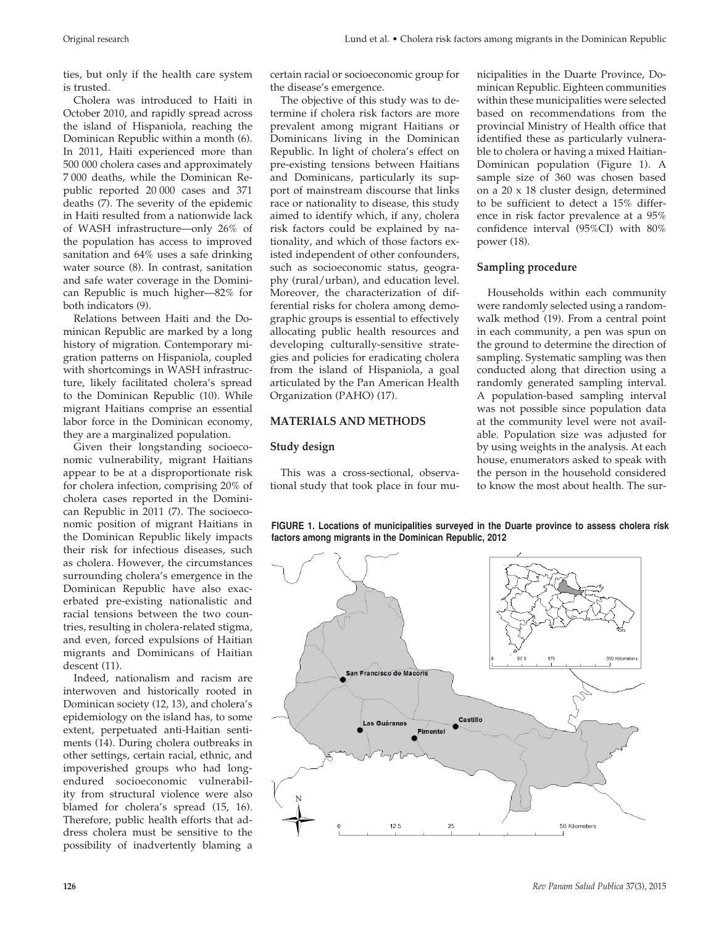ties, but only if the health care system is trusted.

Cholera was introduced to Haiti in October 2010, and rapidly spread across the island of Hispaniola, reaching the Dominican Republic within a month (6). In 2011, Haiti experienced more than 500 000 cholera cases and approximately 7 000 deaths, while the Dominican Republic reported 20 000 cases and 371 deaths (7). The severity of the epidemic in Haiti resulted from a nationwide lack of WASH infrastructure—only 26% of the population has access to improved sanitation and 64% uses a safe drinking water source (8). In contrast, sanitation and safe water coverage in the Dominican Republic is much higher—82% for both indicators (9).

Relations between Haiti and the Dominican Republic are marked by a long history of migration. Contemporary migration patterns on Hispaniola, coupled with shortcomings in WASH infrastructure, likely facilitated cholera's spread to the Dominican Republic (10). While migrant Haitians comprise an essential labor force in the Dominican economy, they are a marginalized population.

Given their longstanding socioeconomic vulnerability, migrant Haitians appear to be at a disproportionate risk for cholera infection, comprising 20% of cholera cases reported in the Dominican Republic in 2011 (7). The socioeconomic position of migrant Haitians in the Dominican Republic likely impacts their risk for infectious diseases, such as cholera. However, the circumstances surrounding cholera's emergence in the Dominican Republic have also exacerbated pre-existing nationalistic and racial tensions between the two countries, resulting in cholera-related stigma, and even, forced expulsions of Haitian migrants and Dominicans of Haitian descent (11).

Indeed, nationalism and racism are interwoven and historically rooted in Dominican society (12, 13), and cholera's epidemiology on the island has, to some extent, perpetuated anti-Haitian sentiments (14). During cholera outbreaks in other settings, certain racial, ethnic, and impoverished groups who had longendured socioeconomic vulnerability from structural violence were also blamed for cholera's spread (15, 16). Therefore, public health efforts that address cholera must be sensitive to the possibility of inadvertently blaming a

certain racial or socioeconomic group for the disease's emergence.

The objective of this study was to determine if cholera risk factors are more prevalent among migrant Haitians or Dominicans living in the Dominican Republic. In light of cholera's effect on pre-existing tensions between Haitians and Dominicans, particularly its support of mainstream discourse that links race or nationality to disease, this study aimed to identify which, if any, cholera risk factors could be explained by nationality, and which of those factors existed independent of other confounders, such as socioeconomic status, geography (rural/urban), and education level. Moreover, the characterization of differential risks for cholera among demographic groups is essential to effectively allocating public health resources and developing culturally-sensitive strategies and policies for eradicating cholera from the island of Hispaniola, a goal articulated by the Pan American Health Organization (PAHO) (17).

## **MATERIALS AND METHODS**

#### **Study design**

This was a cross-sectional, observational study that took place in four municipalities in the Duarte Province, Dominican Republic. Eighteen communities within these municipalities were selected based on recommendations from the provincial Ministry of Health office that identified these as particularly vulnerable to cholera or having a mixed Haitian-Dominican population (Figure 1). A sample size of 360 was chosen based on a 20 x 18 cluster design, determined to be sufficient to detect a 15% difference in risk factor prevalence at a 95% confidence interval (95%CI) with 80% power (18).

#### **Sampling procedure**

Households within each community were randomly selected using a randomwalk method (19). From a central point in each community, a pen was spun on the ground to determine the direction of sampling. Systematic sampling was then conducted along that direction using a randomly generated sampling interval. A population-based sampling interval was not possible since population data at the community level were not available. Population size was adjusted for by using weights in the analysis. At each house, enumerators asked to speak with the person in the household considered to know the most about health. The sur-



**FIGURE 1. Locations of municipalities surveyed in the Duarte province to assess cholera risk factors among migrants in the Dominican Republic, 2012**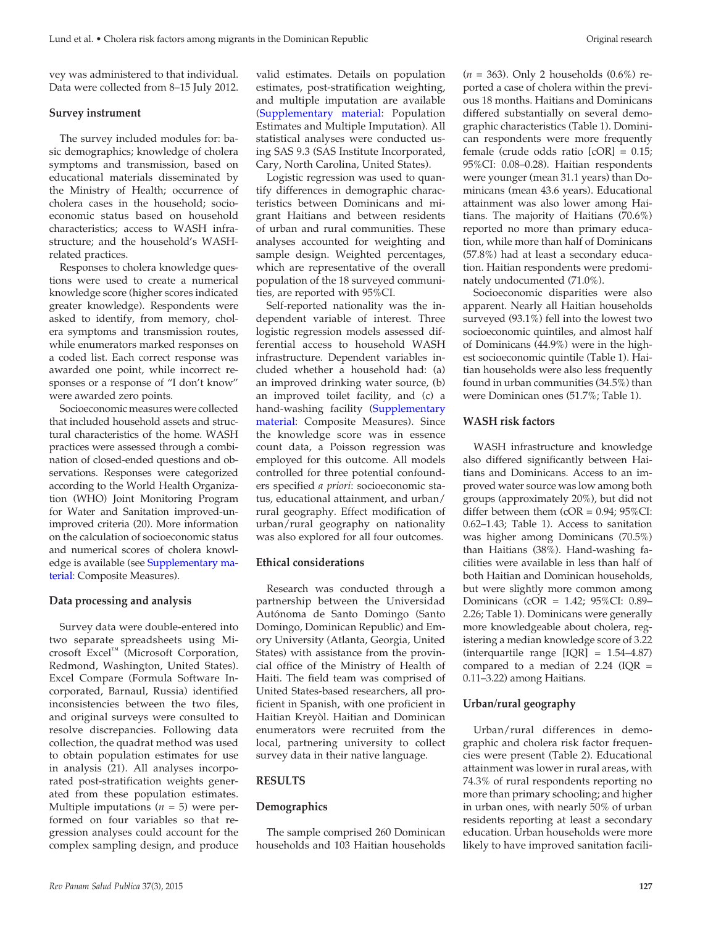vey was administered to that individual. Data were collected from 8–15 July 2012.

#### **Survey instrument**

The survey included modules for: basic demographics; knowledge of cholera symptoms and transmission, based on educational materials disseminated by the Ministry of Health; occurrence of cholera cases in the household; socioeconomic status based on household characteristics; access to WASH infrastructure; and the household's WASHrelated practices.

Responses to cholera knowledge questions were used to create a numerical knowledge score (higher scores indicated greater knowledge). Respondents were asked to identify, from memory, cholera symptoms and transmission routes, while enumerators marked responses on a coded list. Each correct response was awarded one point, while incorrect responses or a response of "I don't know" were awarded zero points.

Socioeconomic measures were collected that included household assets and structural characteristics of the home. WASH practices were assessed through a combination of closed-ended questions and observations. Responses were categorized according to the World Health Organization (WHO) Joint Monitoring Program for Water and Sanitation improved-unimproved criteria (20). More information on the calculation of socioeconomic status and numerical scores of cholera knowledge is available (see [Supplementary ma](http://www.paho.org/journal/index.php?option=com_docman&task=doc_download&gid=863&Itemid=275&lang=en)[terial:](http://www.paho.org/journal/index.php?option=com_docman&task=doc_download&gid=863&Itemid=275&lang=en) Composite Measures).

#### **Data processing and analysis**

Survey data were double-entered into two separate spreadsheets using Microsoft Excel™ (Microsoft Corporation, Redmond, Washington, United States). Excel Compare (Formula Software Incorporated, Barnaul, Russia) identified inconsistencies between the two files, and original surveys were consulted to resolve discrepancies. Following data collection, the quadrat method was used to obtain population estimates for use in analysis (21). All analyses incorporated post-stratification weights generated from these population estimates. Multiple imputations  $(n = 5)$  were performed on four variables so that regression analyses could account for the complex sampling design, and produce

valid estimates. Details on population estimates, post-stratification weighting, and multiple imputation are available ([Supplementary material](http://www.paho.org/journal/index.php?option=com_docman&task=doc_download&gid=863&Itemid=275&lang=en): Population Estimates and Multiple Imputation). All statistical analyses were conducted using SAS 9.3 (SAS Institute Incorporated, Cary, North Carolina, United States).

Logistic regression was used to quantify differences in demographic characteristics between Dominicans and migrant Haitians and between residents of urban and rural communities. These analyses accounted for weighting and sample design. Weighted percentages, which are representative of the overall population of the 18 surveyed communities, are reported with 95%CI.

Self-reported nationality was the independent variable of interest. Three logistic regression models assessed differential access to household WASH infrastructure. Dependent variables included whether a household had: (a) an improved drinking water source, (b) an improved toilet facility, and (c) a hand-washing facility ([Supplementary](http://www.paho.org/journal/index.php?option=com_docman&task=doc_download&gid=863&Itemid=275&lang=en)  [material:](http://www.paho.org/journal/index.php?option=com_docman&task=doc_download&gid=863&Itemid=275&lang=en) Composite Measures). Since the knowledge score was in essence count data, a Poisson regression was employed for this outcome. All models controlled for three potential confounders specified *a priori*: socioeconomic status, educational attainment, and urban/ rural geography. Effect modification of urban/rural geography on nationality was also explored for all four outcomes.

#### **Ethical considerations**

Research was conducted through a partnership between the Universidad Autónoma de Santo Domingo (Santo Domingo, Dominican Republic) and Emory University (Atlanta, Georgia, United States) with assistance from the provincial office of the Ministry of Health of Haiti. The field team was comprised of United States-based researchers, all proficient in Spanish, with one proficient in Haitian Kreyòl. Haitian and Dominican enumerators were recruited from the local, partnering university to collect survey data in their native language.

## **RESULTS**

#### **Demographics**

The sample comprised 260 Dominican households and 103 Haitian households (*n* = 363). Only 2 households (0.6%) reported a case of cholera within the previous 18 months. Haitians and Dominicans differed substantially on several demographic characteristics (Table 1). Dominican respondents were more frequently female (crude odds ratio [cOR] = 0.15; 95%CI: 0.08–0.28). Haitian respondents were younger (mean 31.1 years) than Dominicans (mean 43.6 years). Educational attainment was also lower among Haitians. The majority of Haitians (70.6%) reported no more than primary education, while more than half of Dominicans (57.8%) had at least a secondary education. Haitian respondents were predominately undocumented (71.0%).

Socioeconomic disparities were also apparent. Nearly all Haitian households surveyed (93.1%) fell into the lowest two socioeconomic quintiles, and almost half of Dominicans (44.9%) were in the highest socioeconomic quintile (Table 1). Haitian households were also less frequently found in urban communities (34.5%) than were Dominican ones (51.7%; Table 1).

#### **WASH risk factors**

WASH infrastructure and knowledge also differed significantly between Haitians and Dominicans. Access to an improved water source was low among both groups (approximately 20%), but did not differ between them  $(COR = 0.94; 95\%CI$ : 0.62–1.43; Table 1). Access to sanitation was higher among Dominicans (70.5%) than Haitians (38%). Hand-washing facilities were available in less than half of both Haitian and Dominican households, but were slightly more common among Dominicans (cOR = 1.42; 95%CI: 0.89– 2.26; Table 1). Dominicans were generally more knowledgeable about cholera, registering a median knowledge score of 3.22 (interquartile range [IQR] = 1.54–4.87) compared to a median of  $2.24$  (IQR = 0.11–3.22) among Haitians.

#### **Urban/rural geography**

Urban/rural differences in demographic and cholera risk factor frequencies were present (Table 2). Educational attainment was lower in rural areas, with 74.3% of rural respondents reporting no more than primary schooling; and higher in urban ones, with nearly 50% of urban residents reporting at least a secondary education. Urban households were more likely to have improved sanitation facili-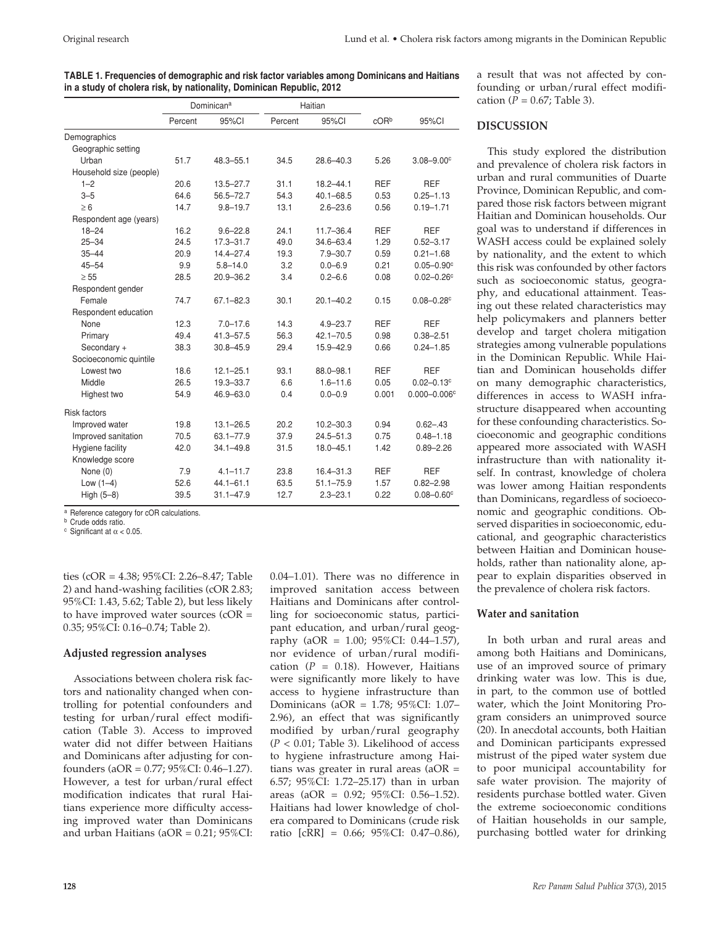| TABLE 1. Frequencies of demographic and risk factor variables among Dominicans and Haitians |
|---------------------------------------------------------------------------------------------|
| in a study of cholera risk, by nationality, Dominican Republic, 2012                        |

|                         | Dominican <sup>a</sup> |               | Haitian |               |            |                            |
|-------------------------|------------------------|---------------|---------|---------------|------------|----------------------------|
|                         | Percent                | 95%CI         | Percent | 95%CI         | cORb       | 95%CI                      |
| Demographics            |                        |               |         |               |            |                            |
| Geographic setting      |                        |               |         |               |            |                            |
| Urban                   | 51.7                   | 48.3-55.1     | 34.5    | $28.6 - 40.3$ | 5.26       | $3.08 - 9.00$ <sup>c</sup> |
| Household size (people) |                        |               |         |               |            |                            |
| $1 - 2$                 | 20.6                   | $13.5 - 27.7$ | 31.1    | $18.2 - 44.1$ | <b>REF</b> | <b>REF</b>                 |
| $3 - 5$                 | 64.6                   | $56.5 - 72.7$ | 54.3    | $40.1 - 68.5$ | 0.53       | $0.25 - 1.13$              |
| $\geq 6$                | 14.7                   | $9.8 - 19.7$  | 13.1    | $2.6 - 23.6$  | 0.56       | $0.19 - 1.71$              |
| Respondent age (years)  |                        |               |         |               |            |                            |
| $18 - 24$               | 16.2                   | $9.6 - 22.8$  | 24.1    | $11.7 - 36.4$ | <b>REF</b> | <b>REF</b>                 |
| $25 - 34$               | 24.5                   | $17.3 - 31.7$ | 49.0    | $34.6 - 63.4$ | 1.29       | $0.52 - 3.17$              |
| $35 - 44$               | 20.9                   | $14.4 - 27.4$ | 19.3    | $7.9 - 30.7$  | 0.59       | $0.21 - 1.68$              |
| $45 - 54$               | 9.9                    | $5.8 - 14.0$  | 3.2     | $0.0 - 6.9$   | 0.21       | $0.05 - 0.90^{\circ}$      |
| $\geq 55$               | 28.5                   | 20.9-36.2     | 3.4     | $0.2 - 6.6$   | 0.08       | $0.02 - 0.26c$             |
| Respondent gender       |                        |               |         |               |            |                            |
| Female                  | 74.7                   | $67.1 - 82.3$ | 30.1    | $20.1 - 40.2$ | 0.15       | $0.08 - 0.28$ <sup>c</sup> |
| Respondent education    |                        |               |         |               |            |                            |
| None                    | 12.3                   | $7.0 - 17.6$  | 14.3    | $4.9 - 23.7$  | <b>REF</b> | <b>REF</b>                 |
| Primary                 | 49.4                   | $41.3 - 57.5$ | 56.3    | $42.1 - 70.5$ | 0.98       | $0.38 - 2.51$              |
| Secondary +             | 38.3                   | $30.8 - 45.9$ | 29.4    | 15.9-42.9     | 0.66       | $0.24 - 1.85$              |
| Socioeconomic quintile  |                        |               |         |               |            |                            |
| Lowest two              | 18.6                   | $12.1 - 25.1$ | 93.1    | 88.0-98.1     | <b>REF</b> | <b>REF</b>                 |
| Middle                  | 26.5                   | $19.3 - 33.7$ | 6.6     | $1.6 - 11.6$  | 0.05       | $0.02 - 0.13$ c            |
| Highest two             | 54.9                   | 46.9-63.0     | 0.4     | $0.0 - 0.9$   | 0.001      | $0.000 - 0.006c$           |
| <b>Risk factors</b>     |                        |               |         |               |            |                            |
| Improved water          | 19.8                   | $13.1 - 26.5$ | 20.2    | $10.2 - 30.3$ | 0.94       | $0.62 - .43$               |
| Improved sanitation     | 70.5                   | $63.1 - 77.9$ | 37.9    | $24.5 - 51.3$ | 0.75       | $0.48 - 1.18$              |
| Hygiene facility        | 42.0                   | $34.1 - 49.8$ | 31.5    | $18.0 - 45.1$ | 1.42       | $0.89 - 2.26$              |
| Knowledge score         |                        |               |         |               |            |                            |
| None (0)                | 7.9                    | $4.1 - 11.7$  | 23.8    | $16.4 - 31.3$ | <b>REF</b> | <b>REF</b>                 |
| Low $(1-4)$             | 52.6                   | $44.1 - 61.1$ | 63.5    | $51.1 - 75.9$ | 1.57       | $0.82 - 2.98$              |
| High (5-8)              | 39.5                   | $31.1 - 47.9$ | 12.7    | $2.3 - 23.1$  | 0.22       | $0.08 - 0.60$ <sup>c</sup> |
|                         |                        |               |         |               |            |                            |

a Reference category for cOR calculations.

**b** Crude odds ratio. <sup>c</sup> Significant at  $\alpha$  < 0.05

ties (cOR = 4.38; 95%CI: 2.26–8.47; Table 2) and hand-washing facilities (cOR 2.83; 95%CI: 1.43, 5.62; Table 2), but less likely to have improved water sources (cOR = 0.35; 95%CI: 0.16–0.74; Table 2).

#### **Adjusted regression analyses**

Associations between cholera risk factors and nationality changed when controlling for potential confounders and testing for urban/rural effect modification (Table 3). Access to improved water did not differ between Haitians and Dominicans after adjusting for confounders (aOR = 0.77; 95%CI: 0.46–1.27). However, a test for urban/rural effect modification indicates that rural Haitians experience more difficulty accessing improved water than Dominicans and urban Haitians (aOR = 0.21; 95%CI:

0.04–1.01). There was no difference in improved sanitation access between Haitians and Dominicans after controlling for socioeconomic status, participant education, and urban/rural geography (aOR = 1.00; 95%CI: 0.44–1.57), nor evidence of urban/rural modification  $(P = 0.18)$ . However, Haitians were significantly more likely to have access to hygiene infrastructure than Dominicans (aOR = 1.78; 95%CI: 1.07– 2.96), an effect that was significantly modified by urban/rural geography  $(P < 0.01$ ; Table 3). Likelihood of access to hygiene infrastructure among Haitians was greater in rural areas (aOR = 6.57; 95%CI: 1.72–25.17) than in urban areas (aOR = 0.92; 95%CI: 0.56–1.52). Haitians had lower knowledge of cholera compared to Dominicans (crude risk ratio [cRR] = 0.66; 95%CI: 0.47–0.86),

a result that was not affected by confounding or urban/rural effect modification ( $P = 0.67$ ; Table 3).

#### **DISCUSSION**

This study explored the distribution and prevalence of cholera risk factors in urban and rural communities of Duarte Province, Dominican Republic, and compared those risk factors between migrant Haitian and Dominican households. Our goal was to understand if differences in WASH access could be explained solely by nationality, and the extent to which this risk was confounded by other factors such as socioeconomic status, geography, and educational attainment. Teasing out these related characteristics may help policymakers and planners better develop and target cholera mitigation strategies among vulnerable populations in the Dominican Republic. While Haitian and Dominican households differ on many demographic characteristics, differences in access to WASH infrastructure disappeared when accounting for these confounding characteristics. Socioeconomic and geographic conditions appeared more associated with WASH infrastructure than with nationality itself. In contrast, knowledge of cholera was lower among Haitian respondents than Dominicans, regardless of socioeconomic and geographic conditions. Observed disparities in socioeconomic, educational, and geographic characteristics between Haitian and Dominican households, rather than nationality alone, appear to explain disparities observed in the prevalence of cholera risk factors.

#### **Water and sanitation**

In both urban and rural areas and among both Haitians and Dominicans, use of an improved source of primary drinking water was low. This is due, in part, to the common use of bottled water, which the Joint Monitoring Program considers an unimproved source (20). In anecdotal accounts, both Haitian and Dominican participants expressed mistrust of the piped water system due to poor municipal accountability for safe water provision. The majority of residents purchase bottled water. Given the extreme socioeconomic conditions of Haitian households in our sample, purchasing bottled water for drinking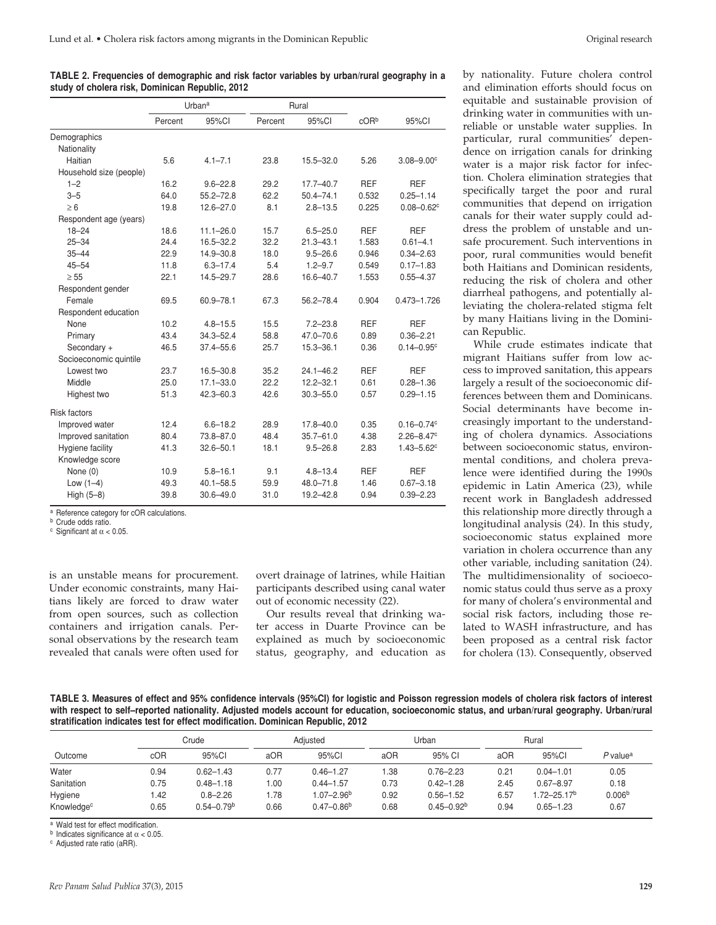**TABLE 2. Frequencies of demographic and risk factor variables by urban/rural geography in a study of cholera risk, Dominican Republic, 2012**

|                         | Urbana  |               | Rural   |               |            |                            |
|-------------------------|---------|---------------|---------|---------------|------------|----------------------------|
|                         | Percent | 95%CI         | Percent | 95%CI         | $c$ OR $b$ | 95%CI                      |
| Demographics            |         |               |         |               |            |                            |
| Nationality             |         |               |         |               |            |                            |
| Haitian                 | 5.6     | $4.1 - 7.1$   | 23.8    | $15.5 - 32.0$ | 5.26       | $3.08 - 9.00$ <sup>c</sup> |
| Household size (people) |         |               |         |               |            |                            |
| $1 - 2$                 | 16.2    | $9.6 - 22.8$  | 29.2    | $17.7 - 40.7$ | <b>REF</b> | <b>REF</b>                 |
| $3 - 5$                 | 64.0    | $55.2 - 72.8$ | 62.2    | $50.4 - 74.1$ | 0.532      | $0.25 - 1.14$              |
| $\geq 6$                | 19.8    | $12.6 - 27.0$ | 8.1     | $2.8 - 13.5$  | 0.225      | $0.08 - 0.62$ c            |
| Respondent age (years)  |         |               |         |               |            |                            |
| $18 - 24$               | 18.6    | $11.1 - 26.0$ | 15.7    | $6.5 - 25.0$  | <b>REF</b> | <b>REF</b>                 |
| $25 - 34$               | 24.4    | 16.5-32.2     | 32.2    | $21.3 - 43.1$ | 1.583      | $0.61 - 4.1$               |
| $35 - 44$               | 22.9    | 14.9-30.8     | 18.0    | $9.5 - 26.6$  | 0.946      | $0.34 - 2.63$              |
| $45 - 54$               | 11.8    | $6.3 - 17.4$  | 5.4     | $1.2 - 9.7$   | 0.549      | $0.17 - 1.83$              |
| $\geq 55$               | 22.1    | 14.5-29.7     | 28.6    | 16.6-40.7     | 1.553      | $0.55 - 4.37$              |
| Respondent gender       |         |               |         |               |            |                            |
| Female                  | 69.5    | 60.9-78.1     | 67.3    | 56.2-78.4     | 0.904      | $0.473 - 1.726$            |
| Respondent education    |         |               |         |               |            |                            |
| None                    | 10.2    | $4.8 - 15.5$  | 15.5    | $7.2 - 23.8$  | <b>REF</b> | <b>REF</b>                 |
| Primary                 | 43.4    | $34.3 - 52.4$ | 58.8    | 47.0-70.6     | 0.89       | $0.36 - 2.21$              |
| Secondary +             | 46.5    | $37.4 - 55.6$ | 25.7    | $15.3 - 36.1$ | 0.36       | $0.14 - 0.95$ c            |
| Socioeconomic quintile  |         |               |         |               |            |                            |
| Lowest two              | 23.7    | $16.5 - 30.8$ | 35.2    | $24.1 - 46.2$ | <b>REF</b> | <b>REF</b>                 |
| Middle                  | 25.0    | $17.1 - 33.0$ | 22.2    | $12.2 - 32.1$ | 0.61       | $0.28 - 1.36$              |
| Highest two             | 51.3    | $42.3 - 60.3$ | 42.6    | $30.3 - 55.0$ | 0.57       | $0.29 - 1.15$              |
| <b>Risk factors</b>     |         |               |         |               |            |                            |
| Improved water          | 12.4    | $6.6 - 18.2$  | 28.9    | $17.8 - 40.0$ | 0.35       | $0.16 - 0.74c$             |
| Improved sanitation     | 80.4    | 73.8-87.0     | 48.4    | $35.7 - 61.0$ | 4.38       | $2.26 - 8.47$ °            |
| Hygiene facility        | 41.3    | $32.6 - 50.1$ | 18.1    | $9.5 - 26.8$  | 2.83       | $1.43 - 5.62$ <sup>c</sup> |
| Knowledge score         |         |               |         |               |            |                            |
| None (0)                | 10.9    | $5.8 - 16.1$  | 9.1     | $4.8 - 13.4$  | <b>REF</b> | <b>REF</b>                 |
| Low $(1-4)$             | 49.3    | $40.1 - 58.5$ | 59.9    | $48.0 - 71.8$ | 1.46       | $0.67 - 3.18$              |
| High $(5-8)$            | 39.8    | $30.6 - 49.0$ | 31.0    | $19.2 - 42.8$ | 0.94       | $0.39 - 2.23$              |
|                         |         |               |         |               |            |                            |

a Reference category for cOR calculations.

**b** Crude odds ratio.

<sup>c</sup> Significant at α < 0.05.

is an unstable means for procurement. Under economic constraints, many Haitians likely are forced to draw water from open sources, such as collection containers and irrigation canals. Personal observations by the research team revealed that canals were often used for

overt drainage of latrines, while Haitian participants described using canal water out of economic necessity (22).

Our results reveal that drinking water access in Duarte Province can be explained as much by socioeconomic status, geography, and education as

by nationality. Future cholera control and elimination efforts should focus on equitable and sustainable provision of drinking water in communities with unreliable or unstable water supplies. In particular, rural communities' dependence on irrigation canals for drinking water is a major risk factor for infection. Cholera elimination strategies that specifically target the poor and rural communities that depend on irrigation canals for their water supply could address the problem of unstable and unsafe procurement. Such interventions in poor, rural communities would benefit both Haitians and Dominican residents, reducing the risk of cholera and other diarrheal pathogens, and potentially alleviating the cholera-related stigma felt by many Haitians living in the Dominican Republic.

While crude estimates indicate that migrant Haitians suffer from low access to improved sanitation, this appears largely a result of the socioeconomic differences between them and Dominicans. Social determinants have become increasingly important to the understanding of cholera dynamics. Associations between socioeconomic status, environmental conditions, and cholera prevalence were identified during the 1990s epidemic in Latin America (23), while recent work in Bangladesh addressed this relationship more directly through a longitudinal analysis (24). In this study, socioeconomic status explained more variation in cholera occurrence than any other variable, including sanitation (24). The multidimensionality of socioeconomic status could thus serve as a proxy for many of cholera's environmental and social risk factors, including those related to WASH infrastructure, and has been proposed as a central risk factor for cholera (13). Consequently, observed

**TABLE 3. Measures of effect and 95% confidence intervals (95%CI) for logistic and Poisson regression models of cholera risk factors of interest**  with respect to self-reported nationality. Adjusted models account for education, socioeconomic status, and urban/rural geography. Urban/rural **stratification indicates test for effect modification. Dominican Republic, 2012**

|                        | Crude |                | Adiusted |                | Urban |                | Rural |                         |                        |  |
|------------------------|-------|----------------|----------|----------------|-------|----------------|-------|-------------------------|------------------------|--|
| Outcome                | cOR   | 95%CI          | aOR      | 95%Cl          | aOR   | 95% CI         | aOR   | 95%CI                   | $P$ value <sup>a</sup> |  |
| Water                  | 0.94  | $0.62 - 1.43$  | 0.77     | $0.46 - 1.27$  | 1.38  | $0.76 - 2.23$  | 0.21  | $0.04 - 1.01$           | 0.05                   |  |
| Sanitation             | 0.75  | $0.48 - 1.18$  | 1.00     | $0.44 - 1.57$  | 0.73  | $0.42 - 1.28$  | 2.45  | $0.67 - 8.97$           | 0.18                   |  |
| Hygiene                | 1.42  | $0.8 - 2.26$   | 1.78     | $1.07 - 2.96b$ | 0.92  | $0.56 - 1.52$  | 6.57  | 1.72-25.17 <sup>b</sup> | 0.006 <sup>b</sup>     |  |
| Knowledge <sup>c</sup> | 0.65  | $0.54 - 0.79b$ | 0.66     | $0.47 - 0.86b$ | 0.68  | $0.45 - 0.92b$ | 0.94  | $0.65 - 1.23$           | 0.67                   |  |

a Wald test for effect modification.

<sup>b</sup> Indicates significance at  $\alpha$  < 0.05.<br><sup>c</sup> Adjusted rate ratio (aRR).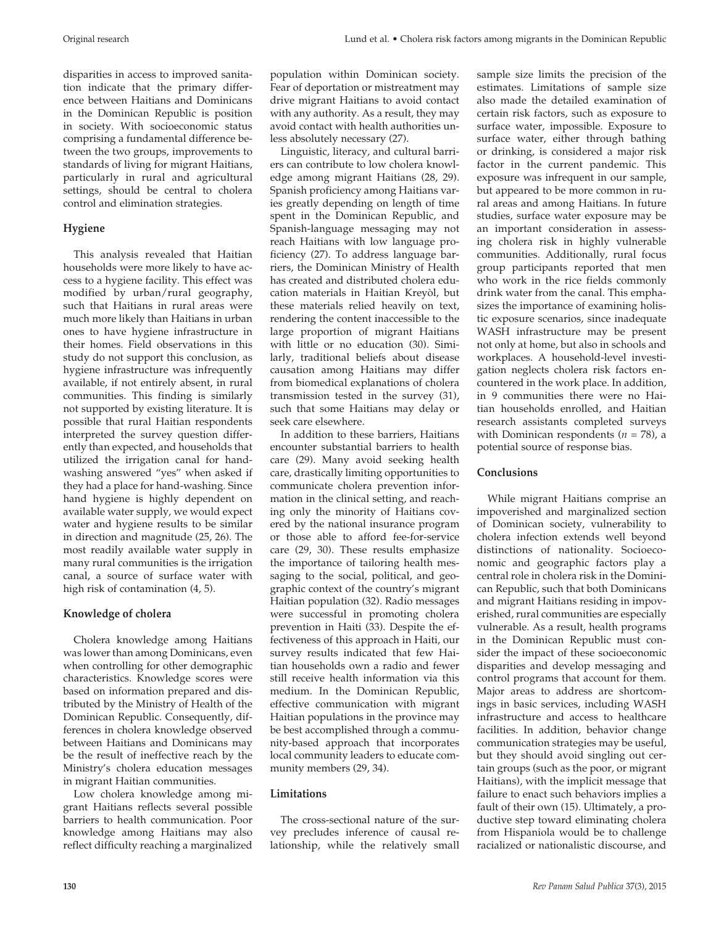disparities in access to improved sanitation indicate that the primary difference between Haitians and Dominicans in the Dominican Republic is position in society. With socioeconomic status comprising a fundamental difference between the two groups, improvements to standards of living for migrant Haitians, particularly in rural and agricultural settings, should be central to cholera control and elimination strategies.

## **Hygiene**

This analysis revealed that Haitian households were more likely to have access to a hygiene facility. This effect was modified by urban/rural geography, such that Haitians in rural areas were much more likely than Haitians in urban ones to have hygiene infrastructure in their homes. Field observations in this study do not support this conclusion, as hygiene infrastructure was infrequently available, if not entirely absent, in rural communities. This finding is similarly not supported by existing literature. It is possible that rural Haitian respondents interpreted the survey question differently than expected, and households that utilized the irrigation canal for handwashing answered "yes" when asked if they had a place for hand-washing. Since hand hygiene is highly dependent on available water supply, we would expect water and hygiene results to be similar in direction and magnitude (25, 26). The most readily available water supply in many rural communities is the irrigation canal, a source of surface water with high risk of contamination (4, 5).

# **Knowledge of cholera**

Cholera knowledge among Haitians was lower than among Dominicans, even when controlling for other demographic characteristics. Knowledge scores were based on information prepared and distributed by the Ministry of Health of the Dominican Republic. Consequently, differences in cholera knowledge observed between Haitians and Dominicans may be the result of ineffective reach by the Ministry's cholera education messages in migrant Haitian communities.

Low cholera knowledge among migrant Haitians reflects several possible barriers to health communication. Poor knowledge among Haitians may also reflect difficulty reaching a marginalized

Linguistic, literacy, and cultural barriers can contribute to low cholera knowledge among migrant Haitians (28, 29). Spanish proficiency among Haitians varies greatly depending on length of time spent in the Dominican Republic, and Spanish-language messaging may not reach Haitians with low language proficiency (27). To address language barriers, the Dominican Ministry of Health has created and distributed cholera education materials in Haitian Kreyòl, but these materials relied heavily on text, rendering the content inaccessible to the large proportion of migrant Haitians with little or no education (30). Similarly, traditional beliefs about disease causation among Haitians may differ from biomedical explanations of cholera transmission tested in the survey (31), such that some Haitians may delay or seek care elsewhere.

In addition to these barriers, Haitians encounter substantial barriers to health care (29). Many avoid seeking health care, drastically limiting opportunities to communicate cholera prevention information in the clinical setting, and reaching only the minority of Haitians covered by the national insurance program or those able to afford fee-for-service care (29, 30). These results emphasize the importance of tailoring health messaging to the social, political, and geographic context of the country's migrant Haitian population (32). Radio messages were successful in promoting cholera prevention in Haiti (33). Despite the effectiveness of this approach in Haiti, our survey results indicated that few Haitian households own a radio and fewer still receive health information via this medium. In the Dominican Republic, effective communication with migrant Haitian populations in the province may be best accomplished through a community-based approach that incorporates local community leaders to educate community members (29, 34).

## **Limitations**

The cross-sectional nature of the survey precludes inference of causal relationship, while the relatively small sample size limits the precision of the estimates. Limitations of sample size also made the detailed examination of certain risk factors, such as exposure to surface water, impossible. Exposure to surface water, either through bathing or drinking, is considered a major risk factor in the current pandemic. This exposure was infrequent in our sample, but appeared to be more common in rural areas and among Haitians. In future studies, surface water exposure may be an important consideration in assessing cholera risk in highly vulnerable communities. Additionally, rural focus group participants reported that men who work in the rice fields commonly drink water from the canal. This emphasizes the importance of examining holistic exposure scenarios, since inadequate WASH infrastructure may be present not only at home, but also in schools and workplaces. A household-level investigation neglects cholera risk factors encountered in the work place. In addition, in 9 communities there were no Haitian households enrolled, and Haitian research assistants completed surveys with Dominican respondents (*n* = 78), a potential source of response bias.

# **Conclusions**

While migrant Haitians comprise an impoverished and marginalized section of Dominican society, vulnerability to cholera infection extends well beyond distinctions of nationality. Socioeconomic and geographic factors play a central role in cholera risk in the Dominican Republic, such that both Dominicans and migrant Haitians residing in impoverished, rural communities are especially vulnerable. As a result, health programs in the Dominican Republic must consider the impact of these socioeconomic disparities and develop messaging and control programs that account for them. Major areas to address are shortcomings in basic services, including WASH infrastructure and access to healthcare facilities. In addition, behavior change communication strategies may be useful, but they should avoid singling out certain groups (such as the poor, or migrant Haitians), with the implicit message that failure to enact such behaviors implies a fault of their own (15). Ultimately, a productive step toward eliminating cholera from Hispaniola would be to challenge racialized or nationalistic discourse, and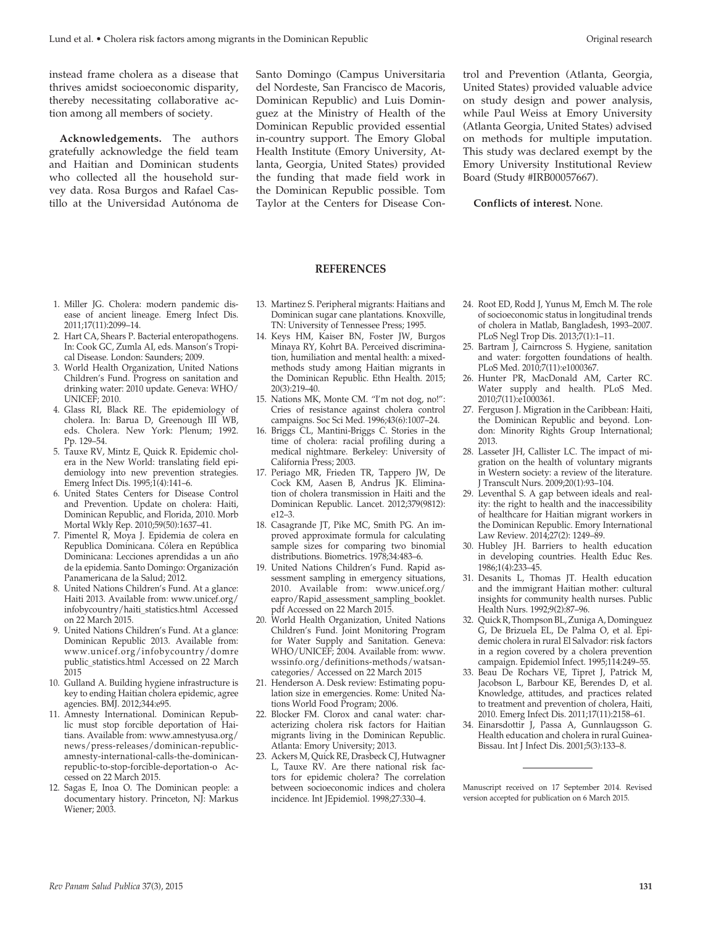instead frame cholera as a disease that thrives amidst socioeconomic disparity, thereby necessitating collaborative action among all members of society.

**Acknowledgements.** The authors gratefully acknowledge the field team and Haitian and Dominican students who collected all the household survey data. Rosa Burgos and Rafael Castillo at the Universidad Autónoma de Santo Domingo (Campus Universitaria del Nordeste, San Francisco de Macoris, Dominican Republic) and Luis Dominguez at the Ministry of Health of the Dominican Republic provided essential in-country support. The Emory Global Health Institute (Emory University, Atlanta, Georgia, United States) provided the funding that made field work in the Dominican Republic possible. Tom Taylor at the Centers for Disease Control and Prevention (Atlanta, Georgia, United States) provided valuable advice on study design and power analysis, while Paul Weiss at Emory University (Atlanta Georgia, United States) advised on methods for multiple imputation. This study was declared exempt by the Emory University Institutional Review Board (Study #IRB00057667).

#### **Conflicts of interest.** None.

#### **REFERENCES**

- 1. Miller JG. Cholera: modern pandemic disease of ancient lineage. Emerg Infect Dis. 2011;17(11):2099–14.
- 2. Hart CA, Shears P. Bacterial enteropathogens. In: Cook GC, Zumla AI, eds. Manson's Tropical Disease. London: Saunders; 2009.
- 3. World Health Organization, United Nations Children's Fund. Progress on sanitation and drinking water: 2010 update. Geneva: WHO/ UNICEF; 2010.
- 4. Glass RI, Black RE. The epidemiology of cholera. In: Barua D, Greenough III WB, eds. Cholera. New York: Plenum; 1992. Pp. 129–54.
- 5. Tauxe RV, Mintz E, Quick R. Epidemic cholera in the New World: translating field epidemiology into new prevention strategies. Emerg Infect Dis. 1995;1(4):141–6.
- 6. United States Centers for Disease Control and Prevention. Update on cholera: Haiti, Dominican Republic, and Florida, 2010. Morb Mortal Wkly Rep. 2010;59(50):1637–41.
- 7. Pimentel R, Moya J. Epidemia de colera en Republica Dominicana. Cólera en República Dominicana: Lecciones aprendidas a un año de la epidemia. Santo Domingo: Organización Panamericana de la Salud; 2012.
- 8. United Nations Children's Fund. At a glance: Haiti 2013. Available from: www.unicef.org/ infobycountry/haiti\_statistics.html Accessed on 22 March 2015.
- 9. United Nations Children's Fund. At a glance: Dominican Republic 2013. Available from: www.unicef.org/infobycountry/domre public\_statistics.html Accessed on 22 March 2015
- 10. Gulland A. Building hygiene infrastructure is key to ending Haitian cholera epidemic, agree agencies. BMJ. 2012;344:e95.
- 11. Amnesty International. Dominican Republic must stop forcible deportation of Haitians. Available from: www.amnestyusa.org/ news/press-releases/dominican-republicamnesty-international-calls-the-dominicanrepublic-to-stop-forcible-deportation-o Accessed on 22 March 2015.
- 12. Sagas E, Inoa O. The Dominican people: a documentary history. Princeton, NJ: Markus Wiener; 2003.
- 13. Martinez S. Peripheral migrants: Haitians and Dominican sugar cane plantations. Knoxville, TN: University of Tennessee Press; 1995.
- 14. Keys HM, Kaiser BN, Foster JW, Burgos Minaya RY, Kohrt BA. Perceived discrimination, humiliation and mental health: a mixedmethods study among Haitian migrants in the Dominican Republic. Ethn Health. 2015; 20(3):219–40.
- 15. Nations MK, Monte CM. "I'm not dog, no!": Cries of resistance against cholera control campaigns. Soc Sci Med. 1996;43(6):1007–24.
- 16. Briggs CL, Mantini-Briggs C. Stories in the time of cholera: racial profiling during a medical nightmare. Berkeley: University of California Press; 2003.
- 17. Periago MR, Frieden TR, Tappero JW, De Cock KM, Aasen B, Andrus JK. Elimination of cholera transmission in Haiti and the Dominican Republic. Lancet. 2012;379(9812): e12–3.
- 18. Casagrande JT, Pike MC, Smith PG. An improved approximate formula for calculating sample sizes for comparing two binomial distributions. Biometrics. 1978;34:483–6.
- 19. United Nations Children's Fund. Rapid assessment sampling in emergency situations, 2010. Available from: www.unicef.org/ eapro/Rapid\_assessment\_sampling\_booklet. pdf Accessed on 22 March 2015.
- 20. World Health Organization, United Nations Children's Fund. Joint Monitoring Program for Water Supply and Sanitation. Geneva: WHO/UNICEF; 2004. Available from: www. wssinfo.org/definitions-methods/watsancategories/ Accessed on 22 March 2015
- 21. Henderson A. Desk review: Estimating population size in emergencies. Rome: United Nations World Food Program; 2006.
- 22. Blocker FM. Clorox and canal water: characterizing cholera risk factors for Haitian migrants living in the Dominican Republic. Atlanta: Emory University; 2013.
- 23. Ackers M, Quick RE, Drasbeck CJ, Hutwagner L, Tauxe RV. Are there national risk factors for epidemic cholera? The correlation between socioeconomic indices and cholera incidence. Int JEpidemiol. 1998;27:330–4.
- 24. Root ED, Rodd J, Yunus M, Emch M. The role of socioeconomic status in longitudinal trends of cholera in Matlab, Bangladesh, 1993–2007. PLoS Negl Trop Dis. 2013;7(1):1–11.
- 25. Bartram J, Cairncross S. Hygiene, sanitation and water: forgotten foundations of health. PLoS Med. 2010;7(11):e1000367.
- 26. Hunter PR, MacDonald AM, Carter RC. Water supply and health. PLoS Med. 2010;7(11):e1000361.
- 27. Ferguson J. Migration in the Caribbean: Haiti, the Dominican Republic and beyond. London: Minority Rights Group International; 2013.
- 28. Lasseter JH, Callister LC. The impact of migration on the health of voluntary migrants in Western society: a review of the literature. J Transcult Nurs. 2009;20(1):93–104.
- 29. Leventhal S. A gap between ideals and reality: the right to health and the inaccessibility of healthcare for Haitian migrant workers in the Dominican Republic. Emory International Law Review. 2014;27(2): 1249–89.
- 30. Hubley JH. Barriers to health education in developing countries. Health Educ Res. 1986;1(4):233–45.
- 31. Desanits L, Thomas JT. Health education and the immigrant Haitian mother: cultural insights for community health nurses. Public Health Nurs. 1992;9(2):87–96.
- 32. Quick R, Thompson BL, Zuniga A, Dominguez G, De Brizuela EL, De Palma O, et al. Epidemic cholera in rural El Salvador: risk factors in a region covered by a cholera prevention campaign. Epidemiol Infect. 1995;114:249–55.
- 33. Beau De Rochars VE, Tipret J, Patrick M, Jacobson L, Barbour KE, Berendes D, et al. Knowledge, attitudes, and practices related to treatment and prevention of cholera, Haiti, 2010. Emerg Infect Dis. 2011;17(11):2158–61.
- 34. Einarsdottir J, Passa A, Gunnlaugsson G. Health education and cholera in rural Guinea-Bissau. Int J Infect Dis. 2001;5(3):133–8.

Manuscript received on 17 September 2014. Revised version accepted for publication on 6 March 2015.